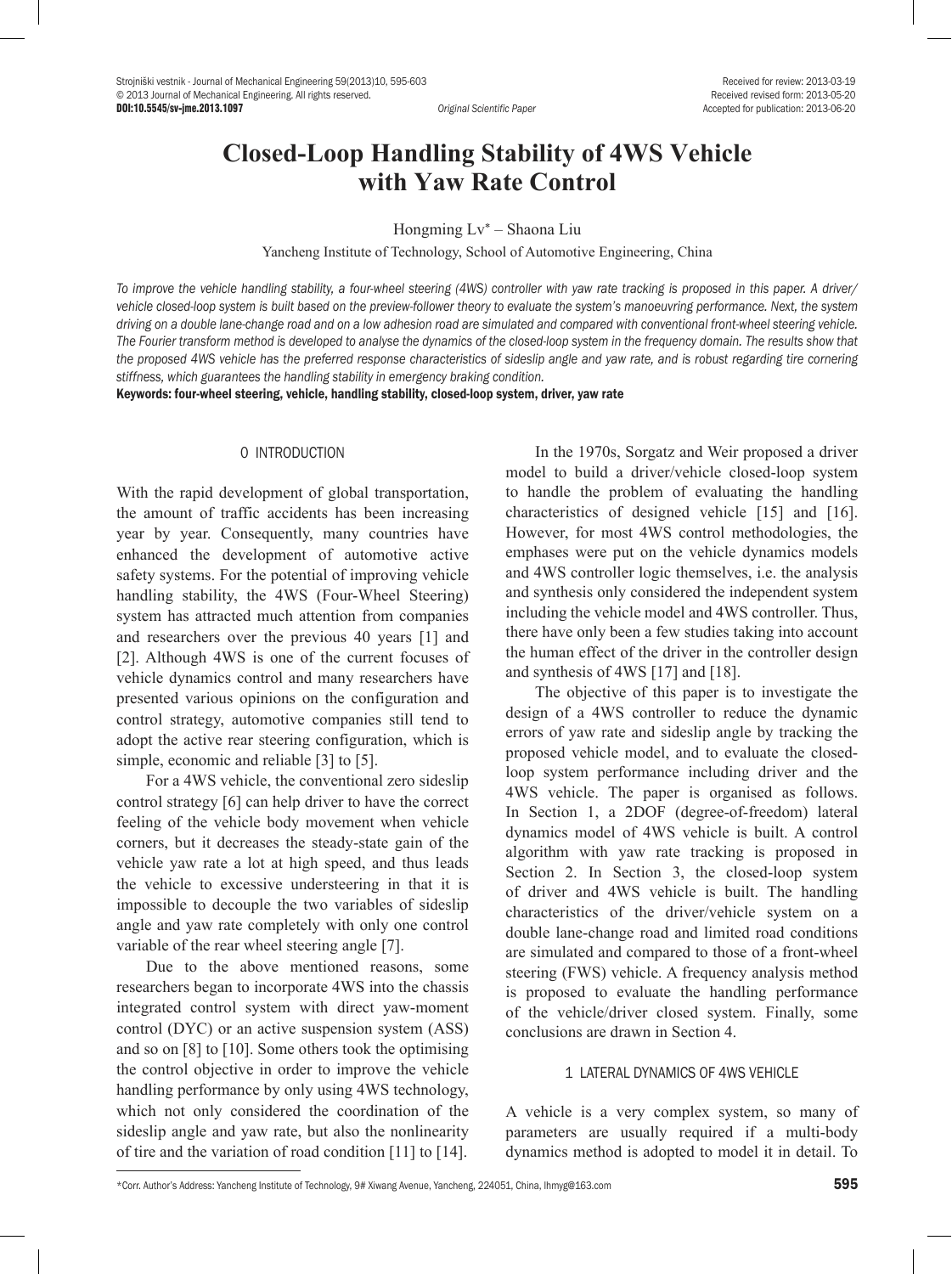# **Closed-Loop Handling Stability of 4WS Vehicle with Yaw Rate Control**

Hongming Lv\* – Shaona Liu

Yancheng Institute of Technology, School of Automotive Engineering, China

*To improve the vehicle handling stability, a four-wheel steering (4WS) controller with yaw rate tracking is proposed in this paper. A driver/ vehicle closed-loop system is built based on the preview-follower theory to evaluate the system's manoeuvring performance. Next, the system driving on a double lane-change road and on a low adhesion road are simulated and compared with conventional front-wheel steering vehicle. The Fourier transform method is developed to analyse the dynamics of the closed-loop system in the frequency domain. The results show that the proposed 4WS vehicle has the preferred response characteristics of sideslip angle and yaw rate, and is robust regarding tire cornering stiffness, which guarantees the handling stability in emergency braking condition.* 

Keywords: four-wheel steering, vehicle, handling stability, closed-loop system, driver, yaw rate

## 0 INTRODUCTION

With the rapid development of global transportation, the amount of traffic accidents has been increasing year by year. Consequently, many countries have enhanced the development of automotive active safety systems. For the potential of improving vehicle handling stability, the 4WS (Four-Wheel Steering) system has attracted much attention from companies and researchers over the previous 40 years [1] and [2]. Although 4WS is one of the current focuses of vehicle dynamics control and many researchers have presented various opinions on the configuration and control strategy, automotive companies still tend to adopt the active rear steering configuration, which is simple, economic and reliable [3] to [5].

For a 4WS vehicle, the conventional zero sideslip control strategy [6] can help driver to have the correct feeling of the vehicle body movement when vehicle corners, but it decreases the steady-state gain of the vehicle yaw rate a lot at high speed, and thus leads the vehicle to excessive understeering in that it is impossible to decouple the two variables of sideslip angle and yaw rate completely with only one control variable of the rear wheel steering angle [7].

Due to the above mentioned reasons, some researchers began to incorporate 4WS into the chassis integrated control system with direct yaw-moment control (DYC) or an active suspension system (ASS) and so on [8] to [10]. Some others took the optimising the control objective in order to improve the vehicle handling performance by only using 4WS technology, which not only considered the coordination of the sideslip angle and yaw rate, but also the nonlinearity of tire and the variation of road condition [11] to [14].

In the 1970s, Sorgatz and Weir proposed a driver model to build a driver/vehicle closed-loop system to handle the problem of evaluating the handling characteristics of designed vehicle [15] and [16]. However, for most 4WS control methodologies, the emphases were put on the vehicle dynamics models and 4WS controller logic themselves, i.e. the analysis and synthesis only considered the independent system including the vehicle model and 4WS controller. Thus, there have only been a few studies taking into account the human effect of the driver in the controller design and synthesis of 4WS [17] and [18].

The objective of this paper is to investigate the design of a 4WS controller to reduce the dynamic errors of yaw rate and sideslip angle by tracking the proposed vehicle model, and to evaluate the closedloop system performance including driver and the 4WS vehicle. The paper is organised as follows. In Section 1, a 2DOF (degree-of-freedom) lateral dynamics model of 4WS vehicle is built. A control algorithm with yaw rate tracking is proposed in Section 2. In Section 3, the closed-loop system of driver and 4WS vehicle is built. The handling characteristics of the driver/vehicle system on a double lane-change road and limited road conditions are simulated and compared to those of a front-wheel steering (FWS) vehicle. A frequency analysis method is proposed to evaluate the handling performance of the vehicle/driver closed system. Finally, some conclusions are drawn in Section 4.

# 1 LATERAL DYNAMICS OF 4WS VEHICLE

A vehicle is a very complex system, so many of parameters are usually required if a multi-body dynamics method is adopted to model it in detail. To

<sup>\*</sup>Corr. Author's Address: Yancheng Institute of Technology, 9# Xiwang Avenue, Yancheng, 224051, China, Ihmyg@163.com 595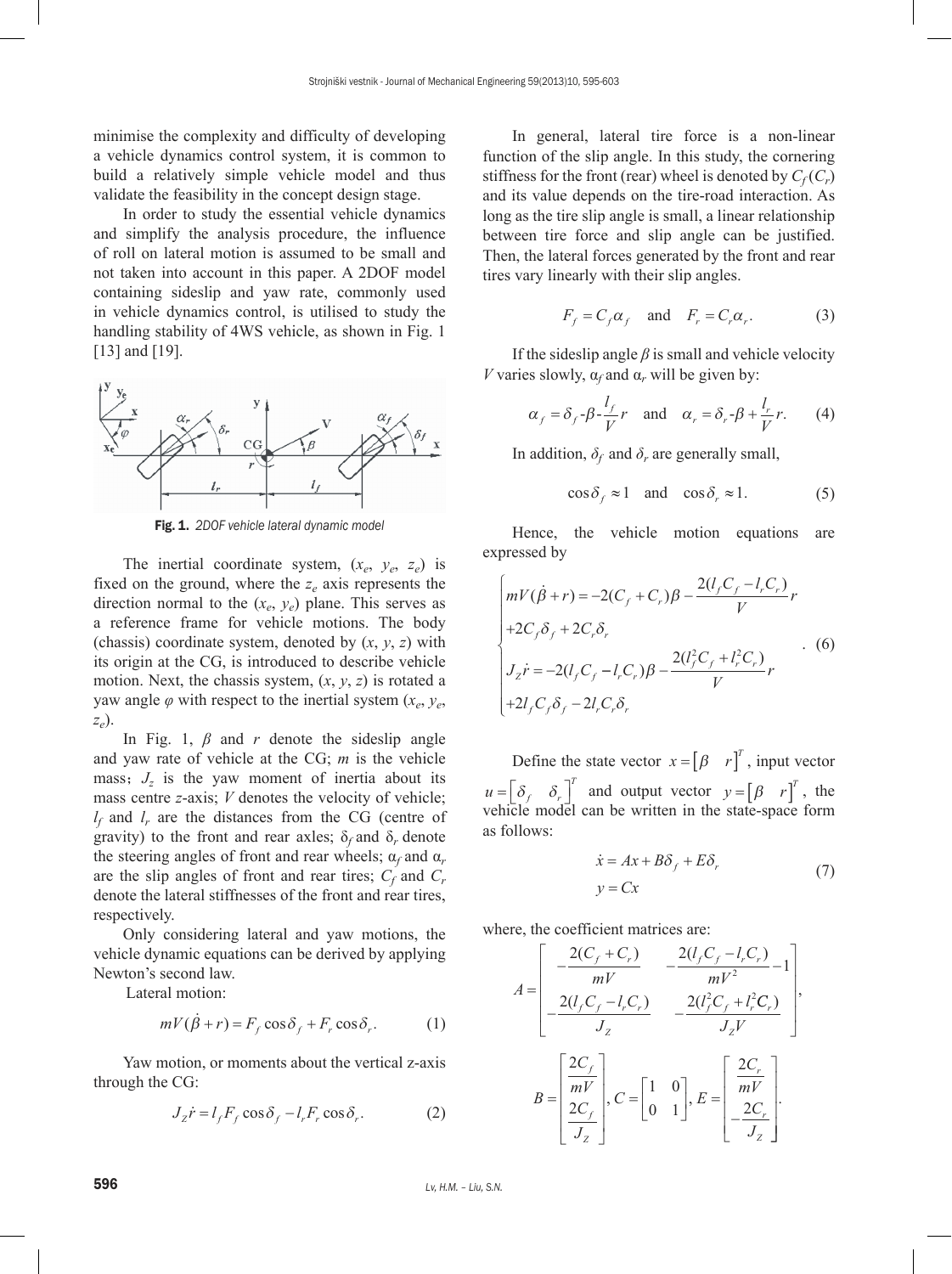minimise the complexity and difficulty of developing a vehicle dynamics control system, it is common to build a relatively simple vehicle model and thus validate the feasibility in the concept design stage.

In order to study the essential vehicle dynamics and simplify the analysis procedure, the influence of roll on lateral motion is assumed to be small and not taken into account in this paper. A 2DOF model containing sideslip and yaw rate, commonly used in vehicle dynamics control, is utilised to study the handling stability of 4WS vehicle, as shown in Fig. 1 [13] and [19].



Fig. 1. *2DOF vehicle lateral dynamic model*

The inertial coordinate system,  $(x_e, y_e, z_e)$  is fixed on the ground, where the  $z_e$  axis represents the direction normal to the  $(x_e, y_e)$  plane. This serves as a reference frame for vehicle motions. The body (chassis) coordinate system, denoted by (*x*, *y*, *z*) with its origin at the CG, is introduced to describe vehicle motion. Next, the chassis system, (*x*, *y*, *z*) is rotated a yaw angle  $\varphi$  with respect to the inertial system  $(x_e, y_e)$ *ze*).

In Fig. 1, *β* and *r* denote the sideslip angle and yaw rate of vehicle at the CG; *m* is the vehicle mass;  $J_z$  is the yaw moment of inertia about its mass centre *z*-axis; *V* denotes the velocity of vehicle; *lf* and *lr* are the distances from the CG (centre of gravity) to the front and rear axles;  $\delta_f$  and  $\delta_r$  denote the steering angles of front and rear wheels;  $\alpha_f$  and  $\alpha_r$ are the slip angles of front and rear tires;  $C_f$  and  $C_r$ denote the lateral stiffnesses of the front and rear tires, respectively.

Only considering lateral and yaw motions, the vehicle dynamic equations can be derived by applying Newton's second law.

Lateral motion:

$$
mV(\dot{\beta} + r) = F_f \cos \delta_f + F_r \cos \delta_r.
$$
 (1)

Yaw motion, or moments about the vertical z-axis through the CG:

$$
J_z \dot{r} = l_f F_f \cos \delta_f - l_r F_r \cos \delta_r.
$$
 (2)

In general, lateral tire force is a non-linear function of the slip angle. In this study, the cornering stiffness for the front (rear) wheel is denoted by  $C_f(C_r)$ and its value depends on the tire-road interaction. As long as the tire slip angle is small, a linear relationship between tire force and slip angle can be justified. Then, the lateral forces generated by the front and rear tires vary linearly with their slip angles.

$$
F_f = C_f \alpha_f \quad \text{and} \quad F_r = C_r \alpha_r. \tag{3}
$$

If the sideslip angle  $\beta$  is small and vehicle velocity *V* varies slowly,  $\alpha_f$  and  $\alpha_r$  will be given by:

$$
\alpha_f = \delta_f - \beta - \frac{l_f}{V}r
$$
 and  $\alpha_r = \delta_r - \beta + \frac{l_r}{V}r$ . (4)

In addition,  $\delta_f$  and  $\delta_r$  are generally small,

$$
\cos \delta_f \approx 1 \quad \text{and} \quad \cos \delta_r \approx 1. \tag{5}
$$

Hence, the vehicle motion equations are expressed by

$$
\begin{cases}\nmV(\dot{\beta}+r) = -2(C_f + C_r)\beta - \frac{2(l_f C_f - l_r C_r)}{V}r \\
+2C_f\delta_f + 2C_r\delta_r \\
J_z\dot{r} = -2(l_f C_f - l_r C_r)\beta - \frac{2(l_f^2 C_f + l_r^2 C_r)}{V}r \\
+2l_f C_f\delta_f - 2l_r C_r\delta_r\n\end{cases} (6)
$$

Define the state vector  $x = \begin{bmatrix} \beta & r \end{bmatrix}^T$ , input vector  $u = \begin{bmatrix} \delta_f & \delta_r \end{bmatrix}^T$  and output vector  $y = \begin{bmatrix} \beta & r \end{bmatrix}^T$ , the vehicle model can be written in the state-space form as follows:

$$
\begin{aligned}\n\dot{x} &= Ax + B\delta_f + E\delta_r \\
y &= Cx\n\end{aligned} \tag{7}
$$

where, the coefficient matrices are:

$$
A = \begin{bmatrix} -\frac{2(C_f + C_r)}{mV} & -\frac{2(l_f C_f - l_r C_r)}{mV^2} - 1\\ -\frac{2(l_f C_f - l_r C_r)}{J_z} & -\frac{2(l_f^2 C_f + l_r^2 C_r)}{J_z V} \end{bmatrix},
$$

$$
B = \begin{bmatrix} \frac{2C_f}{mV} \\ \frac{2C_f}{J_z} \end{bmatrix}, C = \begin{bmatrix} 1 & 0 \\ 0 & 1 \end{bmatrix}, E = \begin{bmatrix} \frac{2C_r}{mV} \\ -\frac{2C_r}{J_z} \end{bmatrix}.
$$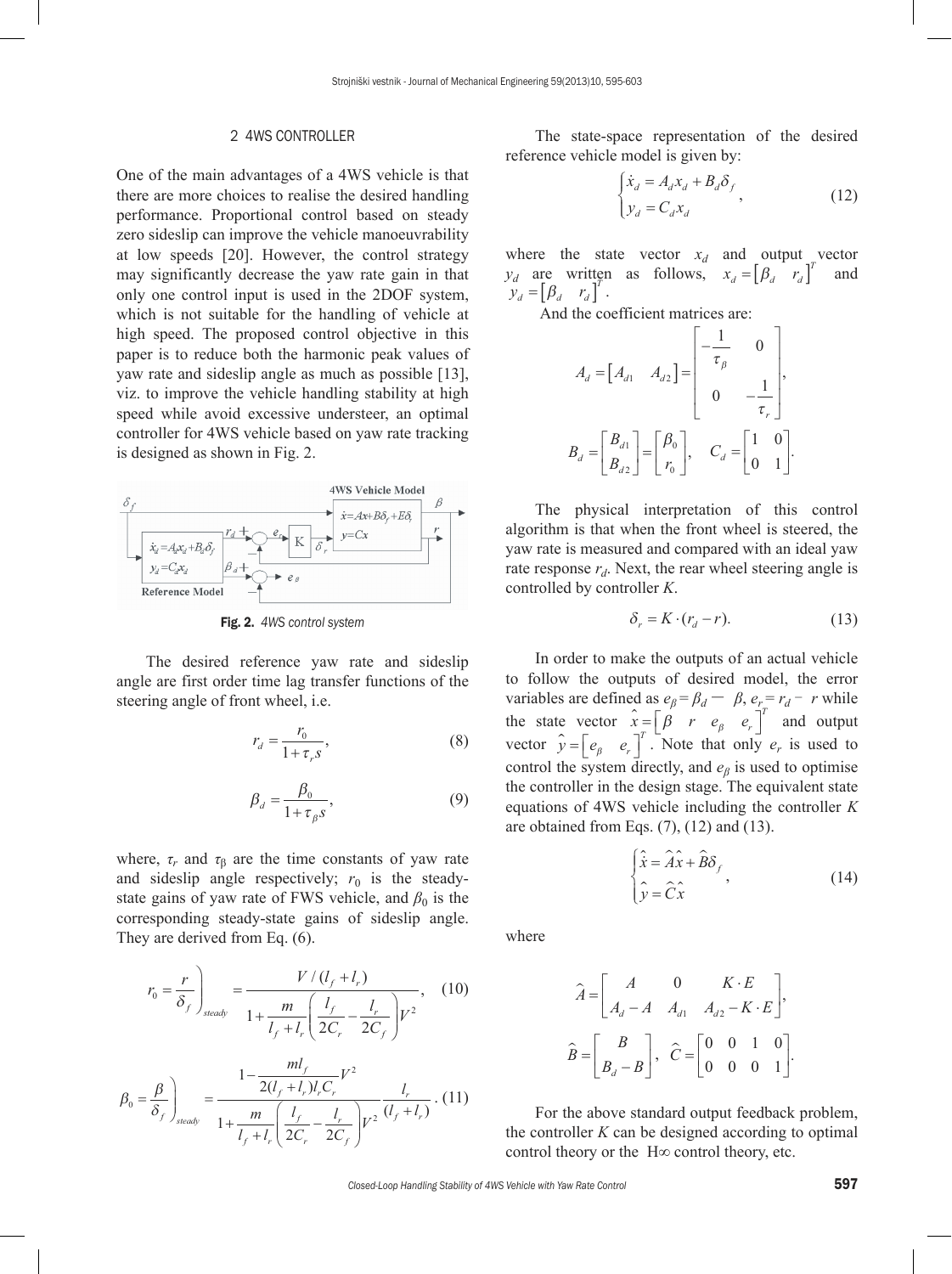## 2 4WS CONTROLLER

One of the main advantages of a 4WS vehicle is that there are more choices to realise the desired handling performance. Proportional control based on steady zero sideslip can improve the vehicle manoeuvrability at low speeds [20]. However, the control strategy may significantly decrease the yaw rate gain in that only one control input is used in the 2DOF system, which is not suitable for the handling of vehicle at high speed. The proposed control objective in this paper is to reduce both the harmonic peak values of yaw rate and sideslip angle as much as possible [13], viz. to improve the vehicle handling stability at high speed while avoid excessive understeer, an optimal controller for 4WS vehicle based on yaw rate tracking is designed as shown in Fig. 2.



Fig. 2. *4WS control system*

The desired reference yaw rate and sideslip angle are first order time lag transfer functions of the steering angle of front wheel, i.e.

$$
r_d = \frac{r_0}{1 + \tau_r s},\tag{8}
$$

$$
\beta_d = \frac{\beta_0}{1 + \tau_\beta s},\tag{9}
$$

where,  $\tau_r$  and  $\tau_\beta$  are the time constants of yaw rate and sideslip angle respectively;  $r_0$  is the steadystate gains of yaw rate of FWS vehicle, and  $\beta_0$  is the corresponding steady-state gains of sideslip angle. They are derived from Eq. (6).

$$
r_0 = \frac{r}{\delta_f} \bigg|_{\text{steady}} = \frac{V/(l_f + l_r)}{1 + \frac{m}{l_f + l_r} \left(\frac{l_f}{2C_r} - \frac{l_r}{2C_f}\right) V^2},\tag{10}
$$

$$
\beta_0 = \frac{\beta}{\delta_f}\Bigg\vert_{\text{steady}} = \frac{1 - \frac{ml_f}{2(l_f + l_r)l_rC_r}V^2}{1 + \frac{m}{l_f + l_r}\left(\frac{l_f}{2C_r} - \frac{l_r}{2C_f}\right)V^2}\frac{l_r}{(l_f + l_r)}.
$$
(11)

The state-space representation of the desired reference vehicle model is given by:

$$
\begin{cases} \dot{x}_d = A_d x_d + B_d \delta_f \\ y_d = C_d x_d \end{cases}
$$
\n(12)

where the state vector  $x_d$  and output vector  $y_d$  are written as follows,  $x_d = \begin{bmatrix} \beta_d & r_d \end{bmatrix}^T$  and  $y_d = \begin{bmatrix} \beta_d & r_d \end{bmatrix}^T$ .

And the coefficient matrices are:

$$
A_d = \begin{bmatrix} A_{d1} & A_{d2} \end{bmatrix} = \begin{bmatrix} -\frac{1}{\tau_\beta} & 0 \\ 0 & -\frac{1}{\tau_r} \end{bmatrix},
$$
\n
$$
B_d = \begin{bmatrix} B_{d1} \\ B_{d2} \end{bmatrix} = \begin{bmatrix} \beta_0 \\ r_0 \end{bmatrix}, \quad C_d = \begin{bmatrix} 1 & 0 \\ 0 & 1 \end{bmatrix}.
$$

The physical interpretation of this control algorithm is that when the front wheel is steered, the yaw rate is measured and compared with an ideal yaw rate response  $r_d$ . Next, the rear wheel steering angle is controlled by controller *K*.

$$
\delta_r = K \cdot (r_d - r). \tag{13}
$$

In order to make the outputs of an actual vehicle to follow the outputs of desired model, the error variables are defined as  $e_{\beta} = \beta_d - \beta$ ,  $e_r = r_d - r$  while the state vector  $\hat{x} = \begin{bmatrix} \beta & r & e_{\beta} & e_r \end{bmatrix}^T$  and output vector  $\hat{y} = \begin{bmatrix} e_{\beta} & e_{r} \end{bmatrix}^T$ . Note that only  $e_r$  is used to control the system directly, and *eβ* is used to optimise the controller in the design stage. The equivalent state equations of 4WS vehicle including the controller *K* are obtained from Eqs.  $(7)$ ,  $(12)$  and  $(13)$ .

$$
\begin{cases}\n\hat{\dot{x}} = \hat{A}\hat{x} + \hat{B}\delta_f \\
\hat{y} = \hat{C}\hat{x}\n\end{cases}
$$
\n(14)

where

$$
\hat{A} = \begin{bmatrix} A & 0 & K \cdot E \\ A_d - A & A_{d1} & A_{d2} - K \cdot E \end{bmatrix},
$$
\n
$$
\hat{B} = \begin{bmatrix} B \\ B_d - B \end{bmatrix}, \quad \hat{C} = \begin{bmatrix} 0 & 0 & 1 & 0 \\ 0 & 0 & 0 & 1 \end{bmatrix}.
$$

For the above standard output feedback problem, the controller  $K$  can be designed according to optimal control theory or the H∞ control theory, etc.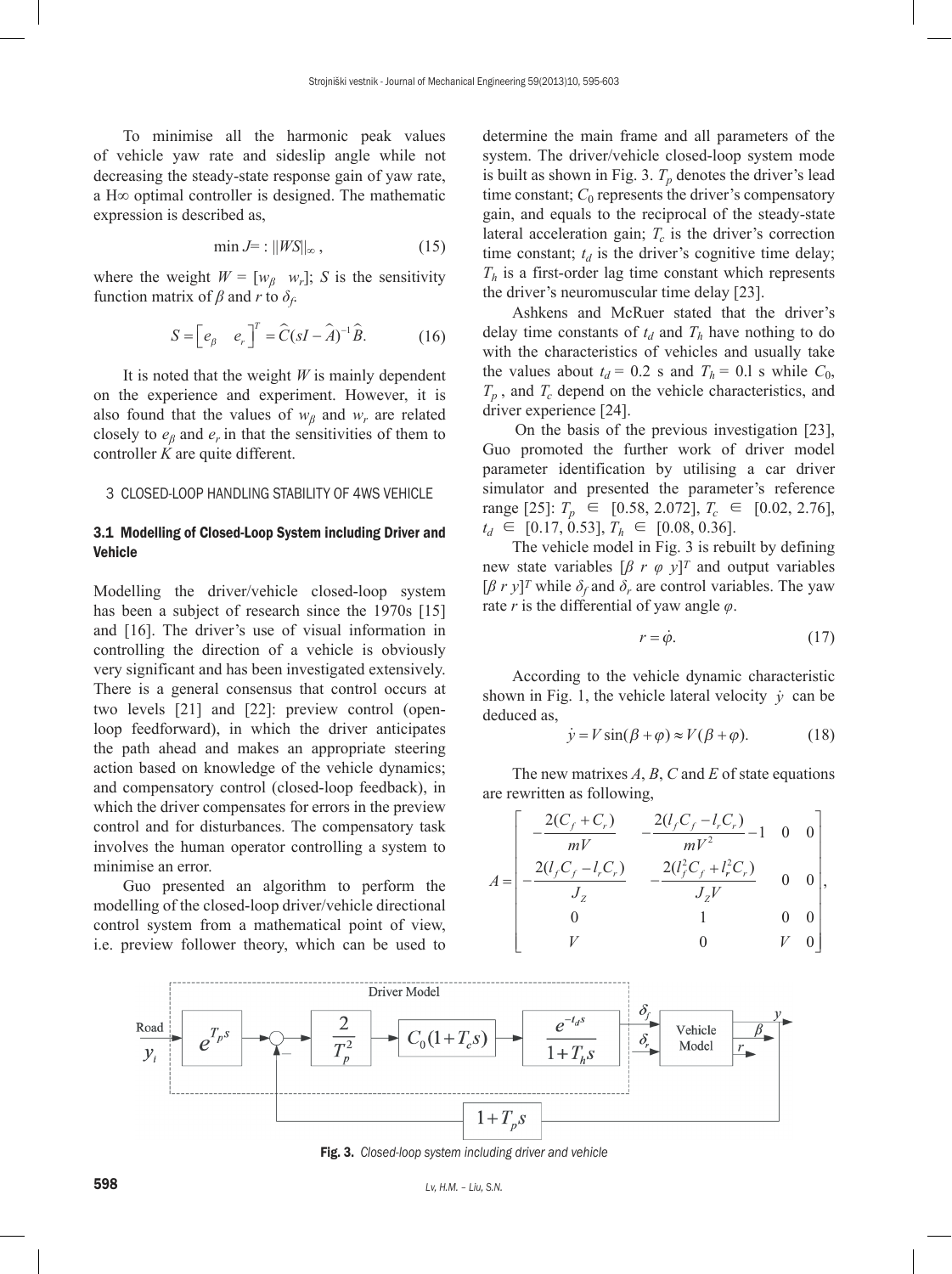To minimise all the harmonic peak values of vehicle yaw rate and sideslip angle while not decreasing the steady-state response gain of yaw rate, a H∞ optimal controller is designed. The mathematic expression is described as,

$$
\min J = : \|WS\|_{\infty},\tag{15}
$$

where the weight  $W = [w_B \ w_r]$ ; *S* is the sensitivity function matrix of  $\beta$  and  $r$  to  $\delta_f$ .

$$
S = \begin{bmatrix} e_{\beta} & e_{r} \end{bmatrix}^{T} = \hat{C}(sI - \hat{A})^{-1}\hat{B}.
$$
 (16)

It is noted that the weight *W* is mainly dependent on the experience and experiment. However, it is also found that the values of  $w_\beta$  and  $w_r$  are related closely to  $e_\beta$  and  $e_r$  in that the sensitivities of them to controller *K* are quite different.

### 3 CLOSED-LOOP HANDLING STABILITY OF 4WS VEHICLE

# 3.1 Modelling of Closed-Loop System including Driver and Vehicle

Modelling the driver/vehicle closed-loop system has been a subject of research since the 1970s [15] and [16]. The driver's use of visual information in controlling the direction of a vehicle is obviously very significant and has been investigated extensively. There is a general consensus that control occurs at two levels [21] and [22]: preview control (openloop feedforward), in which the driver anticipates the path ahead and makes an appropriate steering action based on knowledge of the vehicle dynamics; and compensatory control (closed-loop feedback), in which the driver compensates for errors in the preview control and for disturbances. The compensatory task involves the human operator controlling a system to minimise an error.

Guo presented an algorithm to perform the modelling of the closed-loop driver/vehicle directional control system from a mathematical point of view, i.e. preview follower theory, which can be used to

determine the main frame and all parameters of the system. The driver/vehicle closed-loop system mode is built as shown in Fig. 3.  $T_p$  denotes the driver's lead time constant;  $C_0$  represents the driver's compensatory gain, and equals to the reciprocal of the steady-state lateral acceleration gain;  $T_c$  is the driver's correction time constant;  $t_d$  is the driver's cognitive time delay;  $T<sub>h</sub>$  is a first-order lag time constant which represents the driver's neuromuscular time delay [23].

Ashkens and McRuer stated that the driver's delay time constants of  $t_d$  and  $T_h$  have nothing to do with the characteristics of vehicles and usually take the values about  $t_d = 0.2$  s and  $T_h = 0.1$  s while  $C_0$ ,  $T_p$ , and  $T_c$  depend on the vehicle characteristics, and driver experience [24].

On the basis of the previous investigation [23], Guo promoted the further work of driver model parameter identification by utilising a car driver simulator and presented the parameter's reference range [25]:  $T_p \in [0.58, 2.072]$ ,  $T_c \in [0.02, 2.76]$ ,  $t_d \in [0.17, 0.53], T_h \in [0.08, 0.36].$ 

The vehicle model in Fig. 3 is rebuilt by defining new state variables  $\left[\beta r \varphi y\right]^T$  and output variables  $[\beta r y]^T$  while  $\delta_f$  and  $\delta_r$  are control variables. The yaw rate *r* is the differential of yaw angle *φ*.

$$
r = \dot{\varphi}.\tag{17}
$$

According to the vehicle dynamic characteristic shown in Fig. 1, the vehicle lateral velocity  $\dot{v}$  can be deduced as,

$$
\dot{y} = V \sin(\beta + \varphi) \approx V(\beta + \varphi). \tag{18}
$$

The new matrixes *A*, *B*, *C* and *E* of state equations are rewritten as following,

$$
A = \begin{bmatrix} -\frac{2(C_f + C_r)}{mV} & -\frac{2(l_f C_f - l_r C_r)}{mV^2} - 1 & 0 & 0\\ -\frac{2(l_f C_f - l_r C_r)}{J_z} & -\frac{2(l_f^2 C_f + l_r^2 C_r)}{J_z V} & 0 & 0\\ 0 & 1 & 0 & 0\\ V & 0 & V & 0 \end{bmatrix},
$$



Fig. 3. *Closed-loop system including driver and vehicle*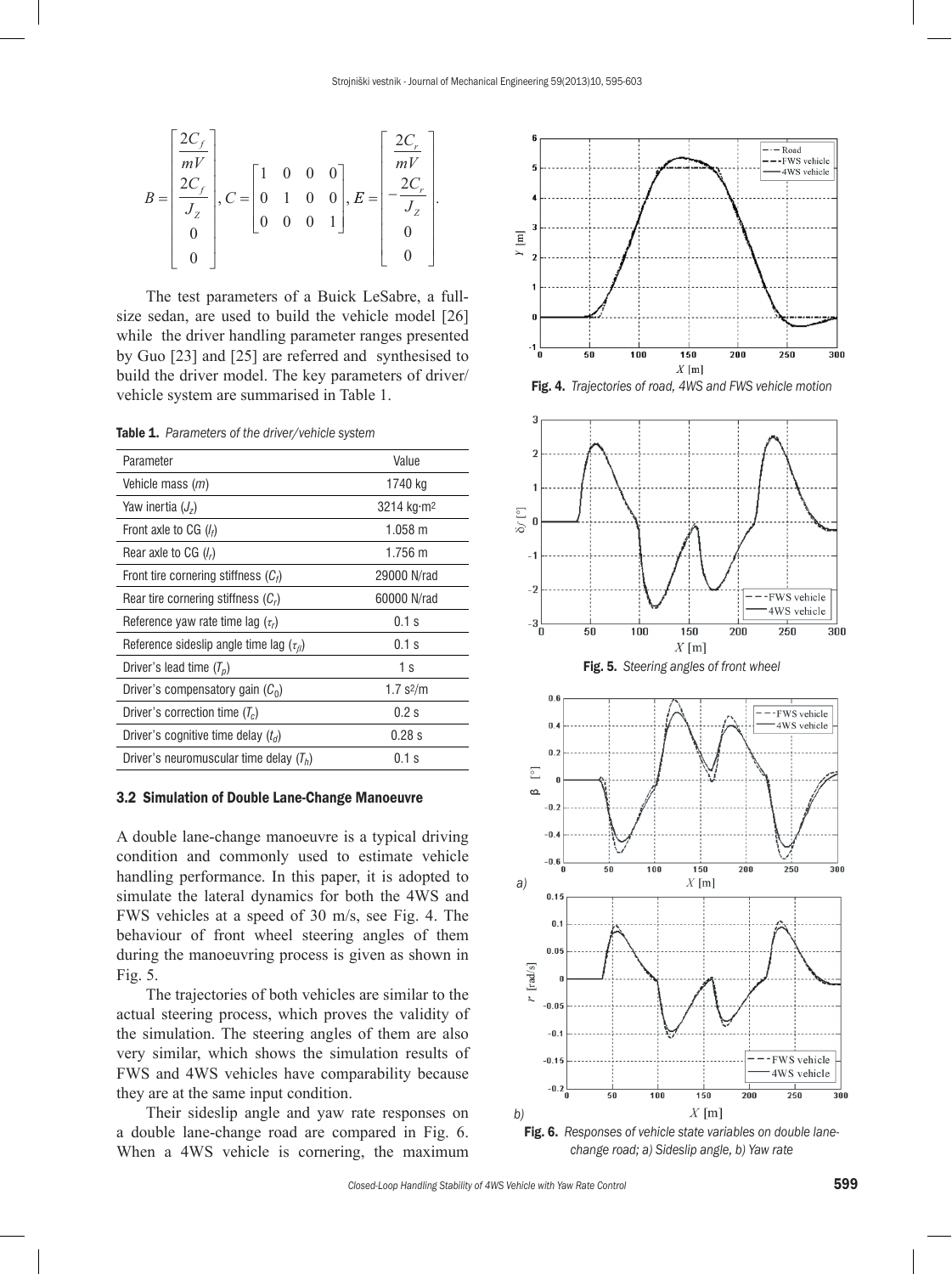

The test parameters of a Buick LeSabre, a fullsize sedan, are used to build the vehicle model [26] while the driver handling parameter ranges presented by Guo [23] and [25] are referred and synthesised to build the driver model. The key parameters of driver/ vehicle system are summarised in Table 1.

Table 1. *Parameters of the driver/vehicle system*

| Parameter                                          | Value                  |
|----------------------------------------------------|------------------------|
| Vehicle mass ( <i>m</i> )                          | 1740 kg                |
| Yaw inertia $(J_z)$                                | 3214 kg·m <sup>2</sup> |
| Front axle to CG $(l_f)$                           | $1.058 \text{ m}$      |
| Rear axle to CG $(lr)$                             | $1.756 \text{ m}$      |
| Front tire cornering stiffness $(C_i)$             | 29000 N/rad            |
| Rear tire cornering stiffness $(C_r)$              | 60000 N/rad            |
| Reference yaw rate time lag $(\tau_c)$             | $0.1$ s                |
| Reference sideslip angle time lag $(\tau_{\beta})$ | $0.1$ s                |
| Driver's lead time $(Tn)$                          | 1 <sub>s</sub>         |
| Driver's compensatory gain $(C_0)$                 | 1.7 s2/m               |
| Driver's correction time $(T_c)$                   | 0.2s                   |
| Driver's cognitive time delay $(t_d)$              | $0.28$ s               |
| Driver's neuromuscular time delay $(T_h)$          | $0.1$ s                |

#### 3.2 Simulation of Double Lane-Change Manoeuvre

A double lane-change manoeuvre is a typical driving condition and commonly used to estimate vehicle handling performance. In this paper, it is adopted to simulate the lateral dynamics for both the 4WS and FWS vehicles at a speed of 30 m/s, see Fig. 4. The behaviour of front wheel steering angles of them during the manoeuvring process is given as shown in Fig. 5.

The trajectories of both vehicles are similar to the actual steering process, which proves the validity of the simulation. The steering angles of them are also very similar, which shows the simulation results of FWS and 4WS vehicles have comparability because they are at the same input condition.

Their sideslip angle and yaw rate responses on a double lane-change road are compared in Fig. 6. When a 4WS vehicle is cornering, the maximum





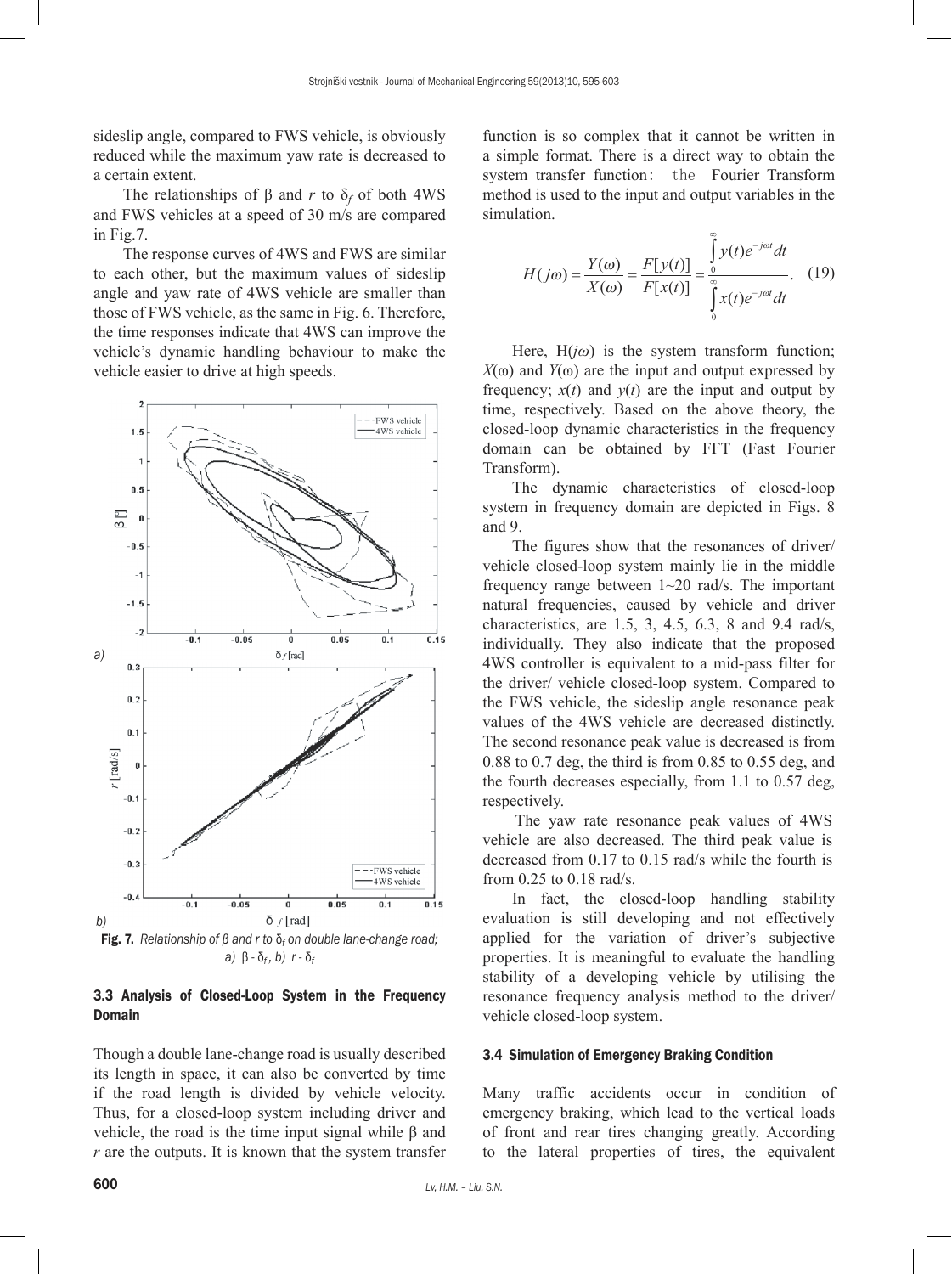sideslip angle, compared to FWS vehicle, is obviously reduced while the maximum yaw rate is decreased to a certain extent.

The relationships of  $\beta$  and *r* to  $\delta_f$  of both 4WS and FWS vehicles at a speed of 30 m/s are compared in Fig.7.

The response curves of 4WS and FWS are similar to each other, but the maximum values of sideslip angle and yaw rate of 4WS vehicle are smaller than those of FWS vehicle, as the same in Fig. 6. Therefore, the time responses indicate that 4WS can improve the vehicle's dynamic handling behaviour to make the vehicle easier to drive at high speeds.



*a)* β *-* δ*f , b) r -* δ*<sup>f</sup>*

# 3.3 Analysis of Closed-Loop System in the Frequency Domain

Though a double lane-change road is usually described its length in space, it can also be converted by time if the road length is divided by vehicle velocity. Thus, for a closed-loop system including driver and vehicle, the road is the time input signal while β and *r* are the outputs. It is known that the system transfer function is so complex that it cannot be written in a simple format. There is a direct way to obtain the system transfer function: the Fourier Transform method is used to the input and output variables in the simulation.

$$
H(j\omega) = \frac{Y(\omega)}{X(\omega)} = \frac{F[y(t)]}{F[x(t)]} = \int_{0}^{\infty} \frac{y(t)e^{-j\omega t}dt}{\int_{0}^{\infty} x(t)e^{-j\omega t}dt}.
$$
 (19)

Here,  $H(j\omega)$  is the system transform function;  $X(\omega)$  and  $Y(\omega)$  are the input and output expressed by frequency;  $x(t)$  and  $y(t)$  are the input and output by time, respectively. Based on the above theory, the closed-loop dynamic characteristics in the frequency domain can be obtained by FFT (Fast Fourier Transform).

The dynamic characteristics of closed-loop system in frequency domain are depicted in Figs. 8 and 9.

The figures show that the resonances of driver/ vehicle closed-loop system mainly lie in the middle frequency range between 1~20 rad/s. The important natural frequencies, caused by vehicle and driver characteristics, are 1.5, 3, 4.5, 6.3, 8 and 9.4 rad/s, individually. They also indicate that the proposed 4WS controller is equivalent to a mid-pass filter for the driver/ vehicle closed-loop system. Compared to the FWS vehicle, the sideslip angle resonance peak values of the 4WS vehicle are decreased distinctly. The second resonance peak value is decreased is from 0.88 to 0.7 deg, the third is from 0.85 to 0.55 deg, and the fourth decreases especially, from 1.1 to 0.57 deg, respectively.

The yaw rate resonance peak values of 4WS vehicle are also decreased. The third peak value is decreased from 0.17 to 0.15 rad/s while the fourth is from 0.25 to 0.18 rad/s.

In fact, the closed-loop handling stability evaluation is still developing and not effectively applied for the variation of driver's subjective properties. It is meaningful to evaluate the handling stability of a developing vehicle by utilising the resonance frequency analysis method to the driver/ vehicle closed-loop system.

#### 3.4 Simulation of Emergency Braking Condition

Many traffic accidents occur in condition of emergency braking, which lead to the vertical loads of front and rear tires changing greatly. According to the lateral properties of tires, the equivalent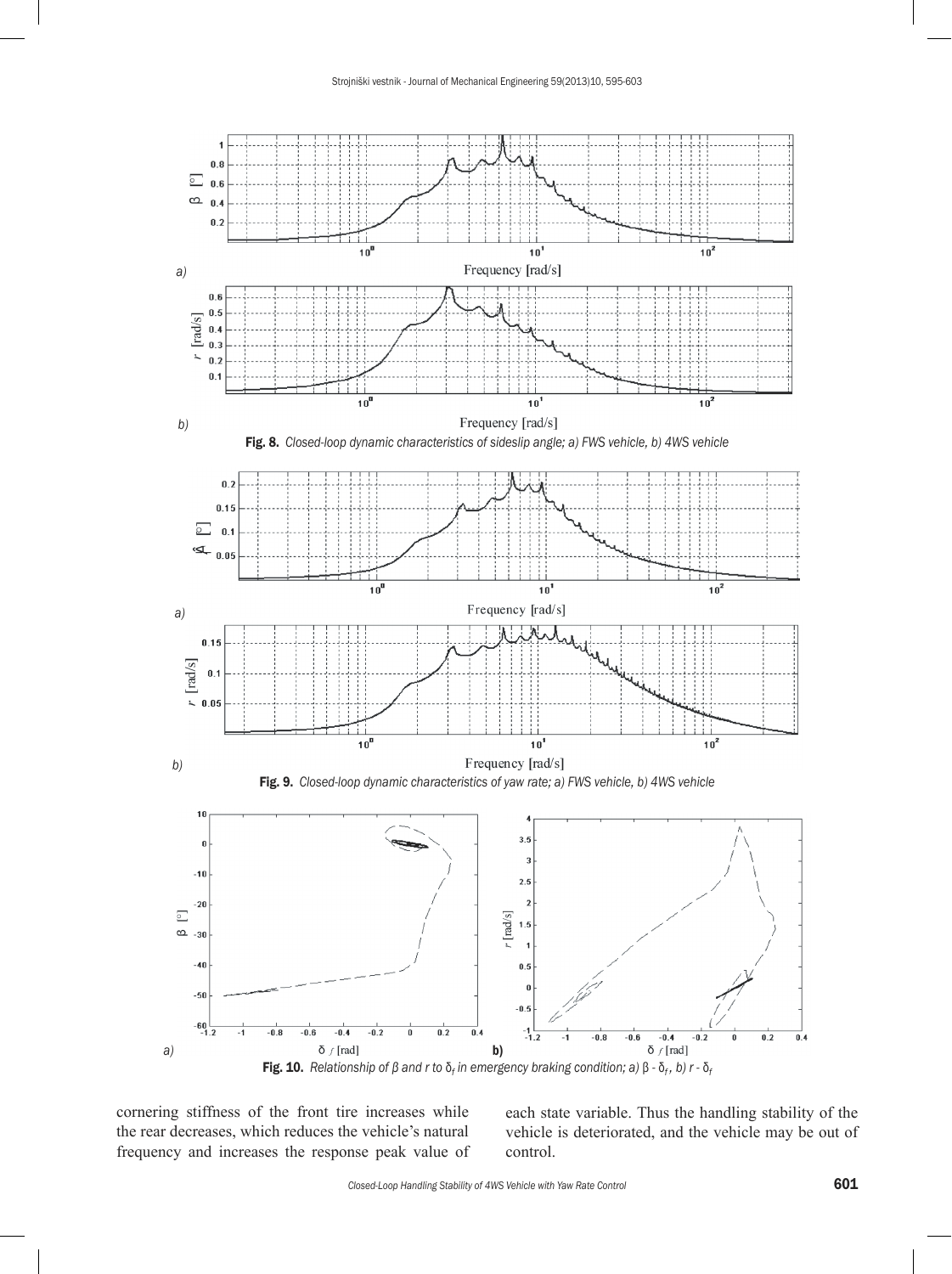

cornering stiffness of the front tire increases while the rear decreases, which reduces the vehicle's natural frequency and increases the response peak value of each state variable. Thus the handling stability of the vehicle is deteriorated, and the vehicle may be out of control.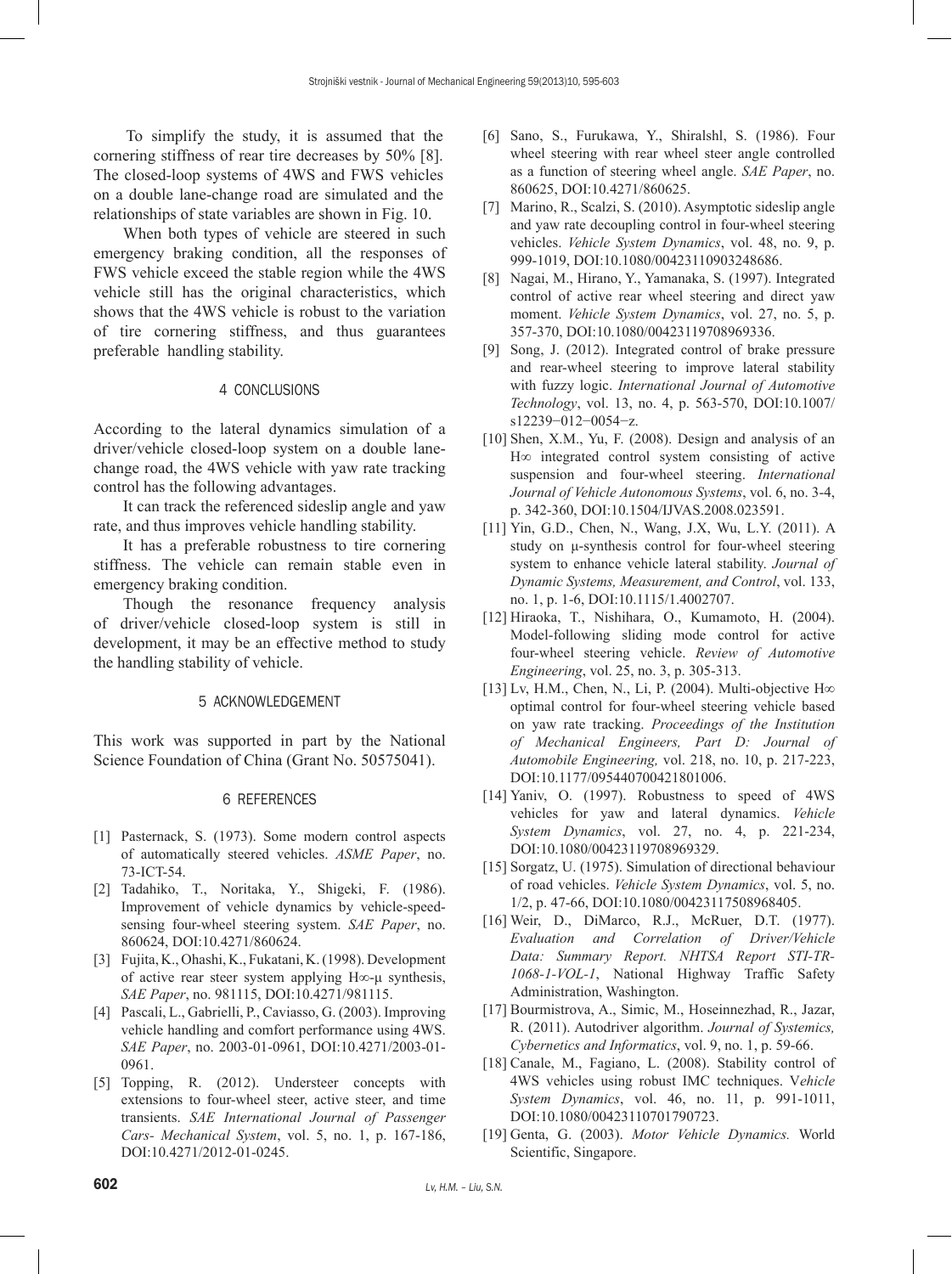To simplify the study, it is assumed that the cornering stiffness of rear tire decreases by 50% [8]. The closed-loop systems of 4WS and FWS vehicles on a double lane-change road are simulated and the relationships of state variables are shown in Fig. 10.

When both types of vehicle are steered in such emergency braking condition, all the responses of FWS vehicle exceed the stable region while the 4WS vehicle still has the original characteristics, which shows that the 4WS vehicle is robust to the variation of tire cornering stiffness, and thus guarantees preferable handling stability.

## 4 CONCLUSIONS

According to the lateral dynamics simulation of a driver/vehicle closed-loop system on a double lanechange road, the 4WS vehicle with yaw rate tracking control has the following advantages.

It can track the referenced sideslip angle and yaw rate, and thus improves vehicle handling stability.

It has a preferable robustness to tire cornering stiffness. The vehicle can remain stable even in emergency braking condition.

Though the resonance frequency analysis of driver/vehicle closed-loop system is still in development, it may be an effective method to study the handling stability of vehicle.

# 5 ACKNOWLEDGEMENT

This work was supported in part by the National Science Foundation of China (Grant No. 50575041).

## 6 REFERENCES

- [1] Pasternack, S. (1973). Some modern control aspects of automatically steered vehicles. *ASME Paper*, no. 73-ICT-54.
- [2] Tadahiko, T., Noritaka, Y., Shigeki, F. (1986). Improvement of vehicle dynamics by vehicle-speedsensing four-wheel steering system. *SAE Paper*, no. 860624, [DOI:10.4271/860624](http://dx.doi.org/10.4271/860624).
- [3] Fujita, K., Ohashi, K., Fukatani, K. (1998). Development of active rear steer system applying H∞-μ synthesis, *SAE Paper*, no. 981115, [DOI:10.4271/981115.](http://dx.doi.org/10.4271/981115)
- [4] Pascali, L., Gabrielli, P., Caviasso, G. (2003). Improving vehicle handling and comfort performance using 4WS. *SAE Paper*, no. 2003-01-0961, [DOI:10.4271/2003-01-](http://dx.doi.org/10.4271/2003-01-0961) [0961.](http://dx.doi.org/10.4271/2003-01-0961)
- [5] Topping, R. (2012). Understeer concepts with extensions to four-wheel steer, active steer, and time transients. *SAE International Journal of Passenger Cars- Mechanical System*, vol. 5, no. 1, p. 167-186, [DOI:10.4271/2012-01-0245.](http://dx.doi.org/10.4271/2012-01-0245)
- [6] Sano, S., Furukawa, Y., Shiralshl, S. (1986). Four wheel steering with rear wheel steer angle controlled as a function of steering wheel angle. *SAE Paper*, no. 860625, [DOI:10.4271/860625.](http://dx.doi.org/10.4271/860625)
- [7] Marino, R., Scalzi, S. (2010). Asymptotic sideslip angle and yaw rate decoupling control in four-wheel steering vehicles. *Vehicle System Dynamics*, vol. 48, no. 9, p. 999-1019, [DOI:10.1080/00423110903248686](http://dx.doi.org/10.1080/00423110903248686).
- [8] Nagai, M., Hirano, Y., Yamanaka, S. (1997). Integrated control of active rear wheel steering and direct yaw moment. *Vehicle System Dynamics*, vol. 27, no. 5, p. 357-370, [DOI:10.1080/00423119708969336.](http://dx.doi.org/10.1080/00423119708969336)
- [9] Song, J. (2012). Integrated control of brake pressure and rear-wheel steering to improve lateral stability with fuzzy logic. *International Journal of Automotive Technology*, vol. 13, no. 4, p. 563-570, [DOI:10.1007/](http://dx.doi.org/10.1007/s12239-012-0054-z) [s12239−012−0054−z.](http://dx.doi.org/10.1007/s12239-012-0054-z)
- [10] Shen, X.M., Yu, F. (2008). Design and analysis of an H∞ integrated control system consisting of active suspension and four-wheel steering. *International Journal of Vehicle Autonomous Systems*, vol. 6, no. 3-4, p. 342-360, [DOI:10.1504/IJVAS.2008.023591.](http://dx.doi.org/10.1504/IJVAS.2008.023591)
- [11] Yin, G.D., Chen, N., Wang, J.X, Wu, L.Y. (2011). A study on μ-synthesis control for four-wheel steering system to enhance vehicle lateral stability. *Journal of Dynamic Systems, Measurement, and Control*, vol. 133, no. 1, p. 1-6, [DOI:10.1115/1.4002707.](http://dx.doi.org/10.1115/1.4002707)
- [12] Hiraoka, T., Nishihara, O., Kumamoto, H. (2004). Model-following sliding mode control for active four-wheel steering vehicle. *Review of Automotive Engineering*, vol. 25, no. 3, p. 305-313.
- [13] Lv, H.M., Chen, N., Li, P. (2004). Multi-objective H $\infty$ optimal control for four-wheel steering vehicle based on yaw rate tracking. *Proceedings of the Institution of Mechanical Engineers, Part D: Journal of Automobile Engineering,* vol. 218, no. 10, p. 217-223, [DOI:10.1177/095440700421801006.](http://dx.doi.org/10.1177/095440700421801006)
- [14] Yaniv, O. (1997). Robustness to speed of 4WS vehicles for yaw and lateral dynamics. *Vehicle System Dynamics*, vol. 27, no. 4, p. 221-234, [DOI:10.1080/00423119708969329](http://dx.doi.org/10.1080/00423119708969329).
- [15] Sorgatz, U. (1975). Simulation of directional behaviour of road vehicles. *Vehicle System Dynamics*, vol. 5, no. 1/2, p. 47-66, [DOI:10.1080/00423117508968405.](http://dx.doi.org/10.1080/00423117508968405)
- [16] Weir, D., DiMarco, R.J., McRuer, D.T. (1977). *Evaluation and Correlation of Driver/Vehicle Data: Summary Report. NHTSA Report STI-TR-1068-1-VOL-1*, National Highway Traffic Safety Administration, Washington.
- [17] Bourmistrova, A., Simic, M., Hoseinnezhad, R., Jazar, R. (2011). Autodriver algorithm. *Journal of Systemics, Cybernetics and Informatics*, vol. 9, no. 1, p. 59-66.
- [18] Canale, M., Fagiano, L. (2008). Stability control of 4WS vehicles using robust IMC techniques. V*ehicle System Dynamics*, vol. 46, no. 11, p. 991-1011, [DOI:10.1080/00423110701790723](http://dx.doi.org/10.1080/00423110701790723).
- [19] Genta, G. (2003). *Motor Vehicle Dynamics.* World Scientific, Singapore.